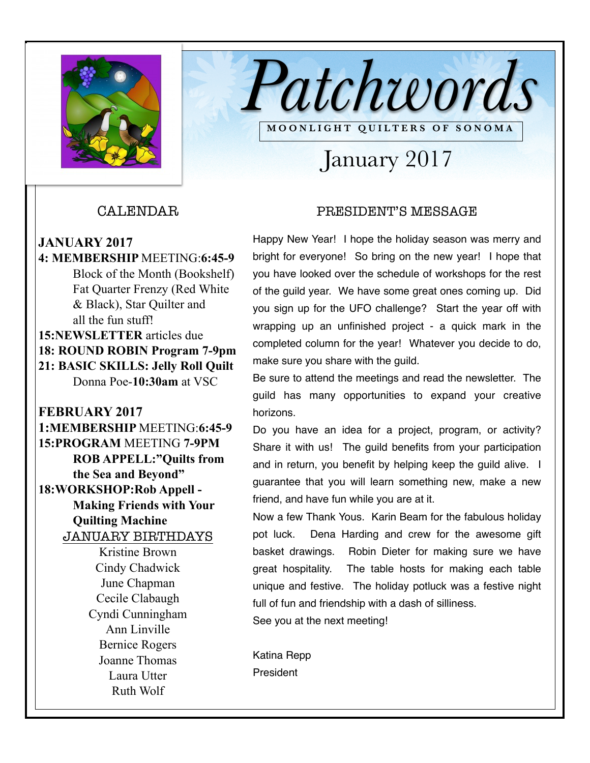

CALENDAR

- **JANUARY 2017**
- **4: MEMBERSHIP** MEETING:**6:45-9**  Block of the Month (Bookshelf) Fat Quarter Frenzy (Red White & Black), Star Quilter and all the fun stuff! **15:NEWSLETTER** articles due **18: ROUND ROBIN Program 7-9pm 21: BASIC SKILLS: Jelly Roll Quilt**  Donna Poe-**10:30am** at VSC
- **FEBRUARY 2017 1:MEMBERSHIP** MEETING:**6:45-9 15:PROGRAM** MEETING **7-9PM ROB APPELL:"Quilts from the Sea and Beyond" 18:WORKSHOP:Rob Appell - Making Friends with Your Quilting Machine**  JANUARY BIRTHDAYS Kristine Brown Cindy Chadwick June Chapman Cecile Clabaugh Cyndi Cunningham
	- Ann Linville Bernice Rogers Joanne Thomas Laura Utter Ruth Wolf

### PRESIDENT'S MESSAGE

January 2017

**MOONLIGHT QUILTERS OF SONOMA** 

*Patchwords*

Happy New Year! I hope the holiday season was merry and bright for everyone! So bring on the new year! I hope that you have looked over the schedule of workshops for the rest of the guild year. We have some great ones coming up. Did you sign up for the UFO challenge? Start the year off with wrapping up an unfinished project - a quick mark in the completed column for the year! Whatever you decide to do, make sure you share with the guild.

Be sure to attend the meetings and read the newsletter. The guild has many opportunities to expand your creative horizons.

Do you have an idea for a project, program, or activity? Share it with us! The guild benefits from your participation and in return, you benefit by helping keep the guild alive. I guarantee that you will learn something new, make a new friend, and have fun while you are at it.

Now a few Thank Yous. Karin Beam for the fabulous holiday pot luck. Dena Harding and crew for the awesome gift basket drawings. Robin Dieter for making sure we have great hospitality. The table hosts for making each table unique and festive. The holiday potluck was a festive night full of fun and friendship with a dash of silliness. See you at the next meeting!

Katina Repp President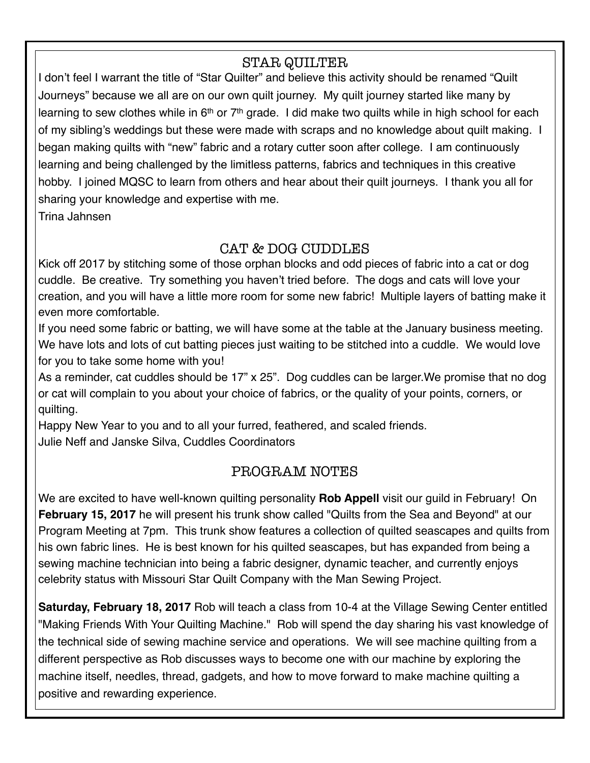## STAR QUILTER

I don't feel I warrant the title of "Star Quilter" and believe this activity should be renamed "Quilt Journeys" because we all are on our own quilt journey. My quilt journey started like many by learning to sew clothes while in  $6<sup>th</sup>$  or  $7<sup>th</sup>$  grade. I did make two quilts while in high school for each of my sibling's weddings but these were made with scraps and no knowledge about quilt making. I began making quilts with "new" fabric and a rotary cutter soon after college. I am continuously learning and being challenged by the limitless patterns, fabrics and techniques in this creative hobby. I joined MQSC to learn from others and hear about their quilt journeys. I thank you all for sharing your knowledge and expertise with me.

Trina Jahnsen

## CAT & DOG CUDDLES

Kick off 2017 by stitching some of those orphan blocks and odd pieces of fabric into a cat or dog cuddle. Be creative. Try something you haven't tried before. The dogs and cats will love your creation, and you will have a little more room for some new fabric! Multiple layers of batting make it even more comfortable.

If you need some fabric or batting, we will have some at the table at the January business meeting. We have lots and lots of cut batting pieces just waiting to be stitched into a cuddle. We would love for you to take some home with you!

As a reminder, cat cuddles should be 17" x 25". Dog cuddles can be larger.We promise that no dog or cat will complain to you about your choice of fabrics, or the quality of your points, corners, or quilting.

Happy New Year to you and to all your furred, feathered, and scaled friends. Julie Neff and Janske Silva, Cuddles Coordinators

## PROGRAM NOTES

We are excited to have well-known quilting personality **Rob Appell** visit our guild in February! On **February 15, 2017** he will present his trunk show called "Quilts from the Sea and Beyond" at our Program Meeting at 7pm. This trunk show features a collection of quilted seascapes and quilts from his own fabric lines. He is best known for his quilted seascapes, but has expanded from being a sewing machine technician into being a fabric designer, dynamic teacher, and currently enjoys celebrity status with Missouri Star Quilt Company with the Man Sewing Project.

**Saturday, February 18, 2017** Rob will teach a class from 10-4 at the Village Sewing Center entitled "Making Friends With Your Quilting Machine." Rob will spend the day sharing his vast knowledge of the technical side of sewing machine service and operations. We will see machine quilting from a different perspective as Rob discusses ways to become one with our machine by exploring the machine itself, needles, thread, gadgets, and how to move forward to make machine quilting a positive and rewarding experience.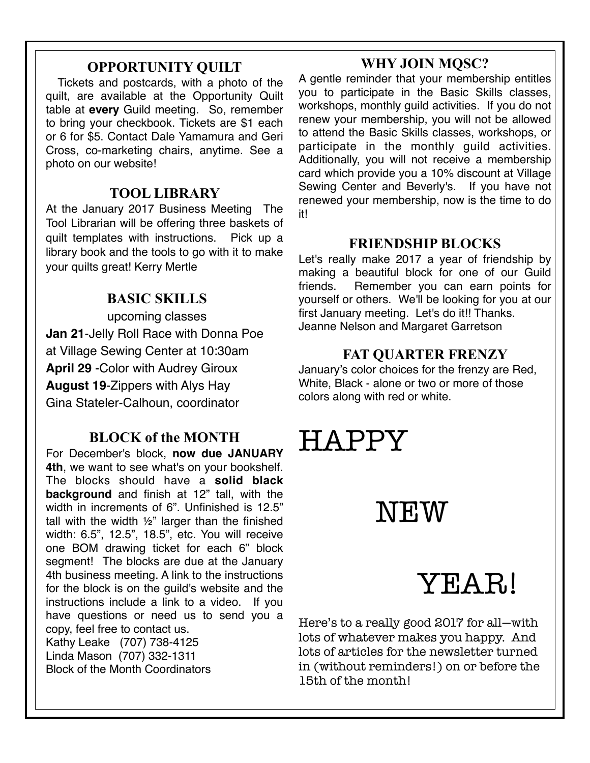## **OPPORTUNITY QUILT**

 Tickets and postcards, with a photo of the quilt, are available at the Opportunity Quilt table at **every** Guild meeting. So, remember to bring your checkbook. Tickets are \$1 each or 6 for \$5. Contact Dale Yamamura and Geri Cross, co-marketing chairs, anytime. See a photo on our website!

### **TOOL LIBRARY**

At the January 2017 Business Meeting The Tool Librarian will be offering three baskets of quilt templates with instructions. Pick up a library book and the tools to go with it to make your quilts great! Kerry Mertle

## **BASIC SKILLS**

upcoming classes **Jan 21**-Jelly Roll Race with Donna Poe at Village Sewing Center at 10:30am **April 29** -Color with Audrey Giroux **August 19**-Zippers with Alys Hay Gina Stateler-Calhoun, coordinator

## **BLOCK of the MONTH**

For December's block, **now due JANUARY 4th**, we want to see what's on your bookshelf. The blocks should have a **solid black background** and finish at 12" tall, with the width in increments of 6". Unfinished is 12.5" tall with the width ½" larger than the finished width: 6.5", 12.5", 18.5", etc. You will receive one BOM drawing ticket for each 6" block segment! The blocks are due at the January 4th business meeting. A link to the instructions for the block is on the guild's website and the instructions include a link to a video. If you have questions or need us to send you a copy, feel free to contact us. Kathy Leake (707) 738-4125 Linda Mason (707) 332-1311 Block of the Month Coordinators

you to participate in the Basic Skills classes, workshops, monthly guild activities. If you do not renew your membership, you will not be allowed to attend the Basic Skills classes, workshops, or participate in the monthly guild activities. Additionally, you will not receive a membership card which provide you a 10% discount at Village Sewing Center and Beverly's. If you have not renewed your membership, now is the time to do it!

**WHY JOIN MQSC?**  A gentle reminder that your membership entitles

## **FRIENDSHIP BLOCKS**

Let's really make 2017 a year of friendship by making a beautiful block for one of our Guild friends. Remember you can earn points for yourself or others. We'll be looking for you at our first January meeting. Let's do it!! Thanks. Jeanne Nelson and Margaret Garretson

## **FAT QUARTER FRENZY**

January's color choices for the frenzy are Red, White, Black - alone or two or more of those colors along with red or white.

# HAPPY

# NEW

# YEAR!

Here's to a really good 2017 for all—with lots of whatever makes you happy. And lots of articles for the newsletter turned in (without reminders!) on or before the 15th of the month!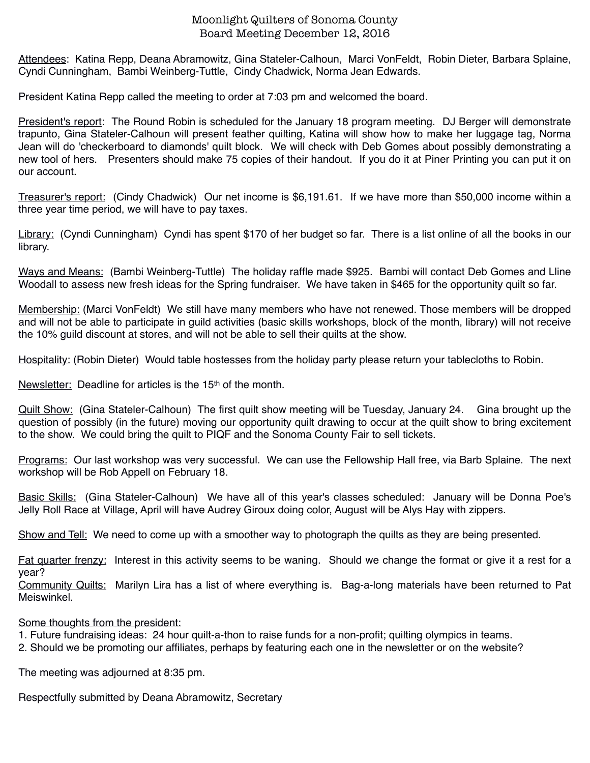#### Moonlight Quilters of Sonoma County Board Meeting December 12, 2016

Attendees: Katina Repp, Deana Abramowitz, Gina Stateler-Calhoun, Marci VonFeldt, Robin Dieter, Barbara Splaine, Cyndi Cunningham, Bambi Weinberg-Tuttle, Cindy Chadwick, Norma Jean Edwards.

President Katina Repp called the meeting to order at 7:03 pm and welcomed the board.

President's report: The Round Robin is scheduled for the January 18 program meeting. DJ Berger will demonstrate trapunto, Gina Stateler-Calhoun will present feather quilting, Katina will show how to make her luggage tag, Norma Jean will do 'checkerboard to diamonds' quilt block. We will check with Deb Gomes about possibly demonstrating a new tool of hers. Presenters should make 75 copies of their handout. If you do it at Piner Printing you can put it on our account.

Treasurer's report: (Cindy Chadwick) Our net income is \$6,191.61. If we have more than \$50,000 income within a three year time period, we will have to pay taxes.

Library: (Cyndi Cunningham) Cyndi has spent \$170 of her budget so far. There is a list online of all the books in our library.

Ways and Means: (Bambi Weinberg-Tuttle) The holiday raffle made \$925. Bambi will contact Deb Gomes and Lline Woodall to assess new fresh ideas for the Spring fundraiser. We have taken in \$465 for the opportunity quilt so far.

Membership: (Marci VonFeldt) We still have many members who have not renewed. Those members will be dropped and will not be able to participate in guild activities (basic skills workshops, block of the month, library) will not receive the 10% guild discount at stores, and will not be able to sell their quilts at the show.

Hospitality: (Robin Dieter) Would table hostesses from the holiday party please return your tablecloths to Robin.

Newsletter: Deadline for articles is the 15<sup>th</sup> of the month.

Quilt Show: (Gina Stateler-Calhoun) The first quilt show meeting will be Tuesday, January 24. Gina brought up the question of possibly (in the future) moving our opportunity quilt drawing to occur at the quilt show to bring excitement to the show. We could bring the quilt to PIQF and the Sonoma County Fair to sell tickets.

Programs: Our last workshop was very successful. We can use the Fellowship Hall free, via Barb Splaine. The next workshop will be Rob Appell on February 18.

Basic Skills: (Gina Stateler-Calhoun) We have all of this year's classes scheduled: January will be Donna Poe's Jelly Roll Race at Village, April will have Audrey Giroux doing color, August will be Alys Hay with zippers.

Show and Tell: We need to come up with a smoother way to photograph the quilts as they are being presented.

Fat quarter frenzy: Interest in this activity seems to be waning. Should we change the format or give it a rest for a year?

Community Quilts: Marilyn Lira has a list of where everything is. Bag-a-long materials have been returned to Pat Meiswinkel.

Some thoughts from the president:

1. Future fundraising ideas: 24 hour quilt-a-thon to raise funds for a non-profit; quilting olympics in teams.

2. Should we be promoting our affiliates, perhaps by featuring each one in the newsletter or on the website?

The meeting was adjourned at 8:35 pm.

Respectfully submitted by Deana Abramowitz, Secretary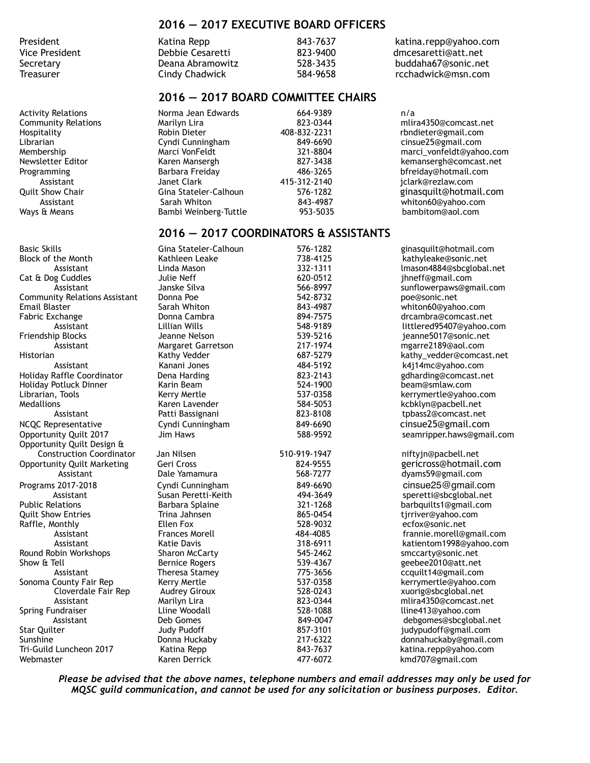#### **2016 — 2017 EXECUTIVE BOARD OFFICERS**

| President      | Katina Repp      | 843-7637 | katina.repp@yahoo.com |
|----------------|------------------|----------|-----------------------|
| Vice President | Debbie Cesaretti | 823-9400 | dmcesaretti@att.net   |
| Secretarv      | Deana Abramowitz | 528-3435 | buddaha67@sonic.net   |
| Treasurer      | Cindy Chadwick   | 584-9658 | rcchadwick@msn.com    |

#### **2016 — 2017 BOARD COMMITTEE CHAIRS**

Activity Relations Norma Jean Edwards 664-9389 n/a Community Relations Marilyn Lira 823-0344 mlira4350@comcast.net Hospitality Robin Dieter 408-832-2231 rbndieter@gmail.com Membership Marci VonFeldt 321-8804 marci\_vonfeldt@yahoo.com Newsletter Editor Karen Mansergh 827-3438 kemansergh@comcast.net Programming Barbara Freiday 486-3265 bfreiday@hotmail.com Assistant Janet Clark 415-312-2140 *Assistant* Janet Clark 415-312-2140 *jclark@rezlaw.com*<br>Gina Stateler-Calhoun 576-1282 ginasquilt@hotma Quilt Show Chair Gina Stateler-Calhoun 576-1282 ginasquilt@hotmail.com Assistant Sarah Whiton 843-4987 whiton60@yahoo.com Bambi Weinberg-Tuttle

Librarian Cyndi Cunningham 849-6690 cinsue25@gmail.com

#### **2016 — 2017 COORDINATORS & ASSISTANTS**

| Basic Skills                       | Gina Stateler-Calhoun | 576-1282     | ginasquilt@hotmail.com    |
|------------------------------------|-----------------------|--------------|---------------------------|
| Block of the Month                 | Kathleen Leake        | 738-4125     | kathyleake@sonic.net      |
| Assistant                          | Linda Mason           | 332-1311     | lmason4884@sbcglobal.net  |
| Cat & Dog Cuddles                  | Julie Neff            | 620-0512     | jhneff@gmail.com          |
| Assistant                          | Janske Silva          | 566-8997     | sunflowerpaws@gmail.com   |
| Community Relations Assistant      | Donna Poe             | 542-8732     | poe@sonic.net             |
| Email Blaster                      | Sarah Whiton          | 843-4987     | whiton60@yahoo.com        |
| Fabric Exchange                    | Donna Cambra          | 894-7575     | drcambra@comcast.net      |
| Assistant                          | Lillian Wills         | 548-9189     | littlered95407@yahoo.com  |
| Friendship Blocks                  | Jeanne Nelson         | 539-5216     | jeanne5017@sonic.net      |
| Assistant                          | Margaret Garretson    | 217-1974     | mgarre2189@aol.com        |
| Historian                          | Kathy Vedder          | 687-5279     | kathy_vedder@comcast.net  |
| Assistant                          | Kanani Jones          | 484-5192     | k4j14mc@yahoo.com         |
| <b>Holiday Raffle Coordinator</b>  | Dena Harding          | 823-2143     | gdharding@comcast.net     |
| Holiday Potluck Dinner             | Karin Beam            | 524-1900     | beam@smlaw.com            |
| Librarian, Tools                   | Kerry Mertle          | 537-0358     | kerrymertle@yahoo.com     |
| Medallions                         | Karen Lavender        | 584-5053     | kcbklyn@pacbell.net       |
| Assistant                          | Patti Bassignani      | 823-8108     | tpbass2@comcast.net       |
| NCQC Representative                | Cyndi Cunningham      | 849-6690     | cinsue25@gmail.com        |
| Opportunity Quilt 2017             | Jim Haws              | 588-9592     | seamripper.haws@gmail.com |
| Opportunity Quilt Design &         |                       |              |                           |
| <b>Construction Coordinator</b>    | Jan Nilsen            | 510-919-1947 | niftyjn@pacbell.net       |
| <b>Opportunity Quilt Marketing</b> | Geri Cross            | 824-9555     | gericross@hotmail.com     |
| Assistant                          | Dale Yamamura         | 568-7277     | dyams59@gmail.com         |
| Programs 2017-2018                 | Cyndi Cunningham      | 849-6690     | cinsue25@gmail.com        |
| Assistant                          | Susan Peretti-Keith   | 494-3649     | speretti@sbcglobal.net    |
| <b>Public Relations</b>            | Barbara Splaine       | 321-1268     | barbquilts1@gmail.com     |
| <b>Quilt Show Entries</b>          | Trina Jahnsen         | 865-0454     | tjrriver@yahoo.com        |
| Raffle, Monthly                    | Ellen Fox             | 528-9032     | ecfox@sonic.net           |
| Assistant                          | <b>Frances Morell</b> | 484-4085     | frannie.morell@gmail.com  |
| Assistant                          | <b>Katie Davis</b>    | 318-6911     | katientom1998@yahoo.com   |
| Round Robin Workshops              | <b>Sharon McCarty</b> | 545-2462     | smccarty@sonic.net        |
| Show & Tell                        | <b>Bernice Rogers</b> | 539-4367     | geebee2010@att.net        |
| Assistant                          | Theresa Stamey        | 775-3656     | ccquilt14@gmail.com       |
| Sonoma County Fair Rep             | Kerry Mertle          | 537-0358     | kerrymertle@yahoo.com     |
| Cloverdale Fair Rep                | <b>Audrey Giroux</b>  | 528-0243     | xuorig@sbcglobal.net      |
| Assistant                          | Marilyn Lira          | 823-0344     | mlira4350@comcast.net     |
| Spring Fundraiser                  | Lline Woodall         | 528-1088     | lline413@yahoo.com        |
| Assistant                          | Deb Gomes             | 849-0047     | debgomes@sbcglobal.net    |
| Star Quilter                       | <b>Judy Pudoff</b>    | 857-3101     | judypudoff@gmail.com      |
| Sunshine                           | Donna Huckaby         | 217-6322     | donnahuckaby@gmail.com    |
| Tri-Guild Luncheon 2017            | Katina Repp           | 843-7637     | katina.repp@yahoo.com     |
| Webmaster                          | Karen Derrick         | 477-6072     | kmd707@gmail.com          |
|                                    |                       |              |                           |

*Please be advised that the above names, telephone numbers and email addresses may only be used for MQSC guild communication, and cannot be used for any solicitation or business purposes. Editor.*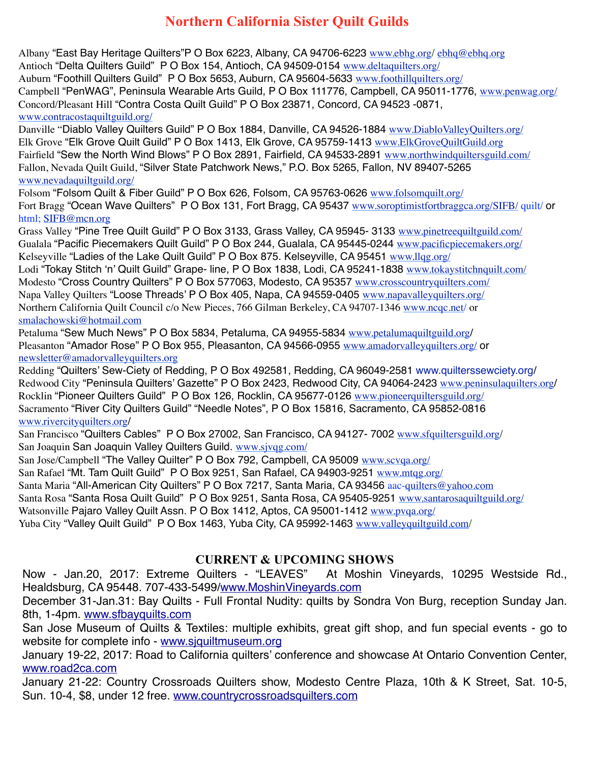## **Northern California Sister Quilt Guilds**

Albany "East Bay Heritage Quilters"P O Box 6223, Albany, CA 94706-6223 [www.ebhg.org](http://www.ebhg.org/)/ [ebhq@ebhq.org](mailto:ebhq@ebhq.org) Antioch "Delta Quilters Guild" P O Box 154, Antioch, CA 94509-0154 [www.deltaquilters.org/](http://www.deltaquilters.org/) Auburn "Foothill Quilters Guild" P O Box 5653, Auburn, CA 95604-5633 [www.foothillquilters.org/](http://www.foothillquilters.org/) Campbell "PenWAG", Peninsula Wearable Arts Guild, P O Box 111776, Campbell, CA 95011-1776, [www.penwag.org/](http://www.penwag.org/) Concord/Pleasant Hill "Contra Costa Quilt Guild" P O Box 23871, Concord, CA 94523 -0871, [www.contracostaquiltguild.org/](http://www.contracostaquiltguild.org/)

Danville "Diablo Valley Quilters Guild" P O Box 1884, Danville, CA 94526-1884 [www.DiabloValleyQuilters.org/](http://www.diablovalleyquilters.org/) Elk Grove "Elk Grove Quilt Guild" P O Box 1413, Elk Grove, CA 95759-1413 [www.ElkGroveQuiltGuild.org](http://www.elkgrovequiltguild.org/) Fairfield "Sew the North Wind Blows" P O Box 2891, Fairfield, CA 94533-2891 [www.northwindquiltersguild.com/](http://www.northwindquiltersguild.com/) Fallon, Nevada Quilt Guild, "Silver State Patchwork News," P.O. Box 5265, Fallon, NV 89407-5265 [www.nevadaquiltguild.org/](http://www.nevadaquiltguild.org/)

Folsom "Folsom Quilt & Fiber Guild" P O Box 626, Folsom, CA 95763-0626 [www.folsomquilt.org/](http://www.folsomquilt.org/) Fort Bragg "Ocean Wave Quilters" P O Box 131, Fort Bragg, CA 95437 [www.soroptimistfortbraggca.org/SIFB/](http://www.soroptimistfortbraggca.org/SIFB/) quilt/ or html; [SIFB@mcn.org](mailto:SIFB@mcn.org)

Grass Valley "Pine Tree Quilt Guild" P O Box 3133, Grass Valley, CA 95945- 3133 [www.pinetreequiltguild.com/](http://www.pinetreequiltguild.com/) Gualala "Pacific Piecemakers Quilt Guild" P O Box 244, Gualala, CA 95445-0244 [www.pacificpiecemakers.org/](http://www.pacificpiecemakers.org/) Kelseyville "Ladies of the Lake Quilt Guild" P O Box 875. Kelseyville, CA 95451 www.llgg.org/ Lodi "Tokay Stitch 'n' Quilt Guild" Grape- line, P O Box 1838, Lodi, CA 95241-1838 [www.tokaystitchnquilt.com/](http://www.tokaystitchnquilt.com/) Modesto "Cross Country Quilters" P O Box 577063, Modesto, CA 95357 [www.crosscountryquilters.com/](http://www.crosscountryquilters.com/) Napa Valley Quilters "Loose Threads' P O Box 405, Napa, CA 94559-0405 [www.napavalleyquilters.org/](http://www.napavalleyquilters.org/) Northern California Quilt Council c/o New Pieces, 766 Gilman Berkeley, CA 94707-1346 [www.ncqc.net](http://www.ncqc.net/)/ or [smalachowski@hotmail.com](mailto:smalachowski@hotmail.com)

Petaluma "Sew Much News" P O Box 5834, Petaluma, CA 94955-5834 [www.petalumaquiltguild.org](http://www.petalumaquiltguild.org/)/ Pleasanton "Amador Rose" P O Box 955, Pleasanton, CA 94566-0955 [www.amadorvalleyquilters.org/](http://www.amadorvalleyquilters.org/) or [newsletter@amadorvalleyquilters.org](mailto:newsletter@amadorvalleyquilters.org)

Redding "Quilters' Sew-Ciety of Redding, P O Box 492581, Redding, CA 96049-2581 [www.quilterssewciety.org/](http://www.quilterssewciety.org/) Redwood City "Peninsula Quilters' Gazette" P O Box 2423, Redwood City, CA 94064-2423 [www.peninsulaquilters.org](http://www.peninsulaquilters.org/)/ Rocklin "Pioneer Quilters Guild" P O Box 126, Rocklin, CA 95677-0126 [www.pioneerquiltersguild.org/](http://www.pioneerquiltersguild.org/) Sacramento "River City Quilters Guild" "Needle Notes", P O Box 15816, Sacramento, CA 95852-0816 [www.rivercityquilters.org](http://www.rivercityquilters.org/)/

San Francisco "Quilters Cables" P O Box 27002, San Francisco, CA 94127- 7002 [www.sfquiltersguild.org](http://www.sfquiltersguild.org/)/ San Joaquin San Joaquin Valley Quilters Guild. [www.sjvqg.com/](http://www.sjvqg.com/)

San Jose/Campbell "The Valley Quilter" P O Box 792, Campbell, CA 95009 [www.scvqa.org/](http://www.scvqa.org/)

San Rafael "Mt. Tam Quilt Guild" P O Box 9251, San Rafael, CA 94903-9251 [www.mtqg.org/](http://www.mtqg.org/)

Santa Maria "All-American City Quilters" P O Box 7217, Santa Maria, CA 93456 aac-[quilters@yahoo.com](mailto:quilters@yahoo.com)

Santa Rosa "Santa Rosa Quilt Guild" P O Box 9251, Santa Rosa, CA 95405-9251 [www.santarosaquiltguild.org/](http://www.santarosaquiltguild.org/)

Watsonville Pajaro Valley Quilt Assn, P O Box 1412, Aptos, CA 95001-1412 www.pyqa.org/

Yuba City "Valley Quilt Guild" P O Box 1463, Yuba City, CA 95992-1463 [www.valleyquiltguild.com](http://www.valleyquiltguild.com/)/

#### **CURRENT & UPCOMING SHOWS**

Now - Jan.20, 2017: Extreme Quilters - "LEAVES" At Moshin Vineyards, 10295 Westside Rd., Healdsburg, CA 95448. 707-433-5499/[www.MoshinVineyards.com](http://www.MoshinVineyards.com)

December 31-Jan.31: Bay Quilts - Full Frontal Nudity: quilts by Sondra Von Burg, reception Sunday Jan. 8th, 1-4pm. [www.sfbayquilts.com](http://www.sfbayquilts.com)

San Jose Museum of Quilts & Textiles: multiple exhibits, great gift shop, and fun special events - go to website for complete info - [www.sjquiltmuseum.org](http://www.sjquiltmuseum.org)

January 19-22, 2017: Road to California quilters' conference and showcase At Ontario Convention Center, [www.road2ca.com](http://www.road2ca.com)

January 21-22: Country Crossroads Quilters show, Modesto Centre Plaza, 10th & K Street, Sat. 10-5, Sun. 10-4, \$8, under 12 free. [www.countrycrossroadsquilters.com](http://www.countrycrossroadsquilters.com)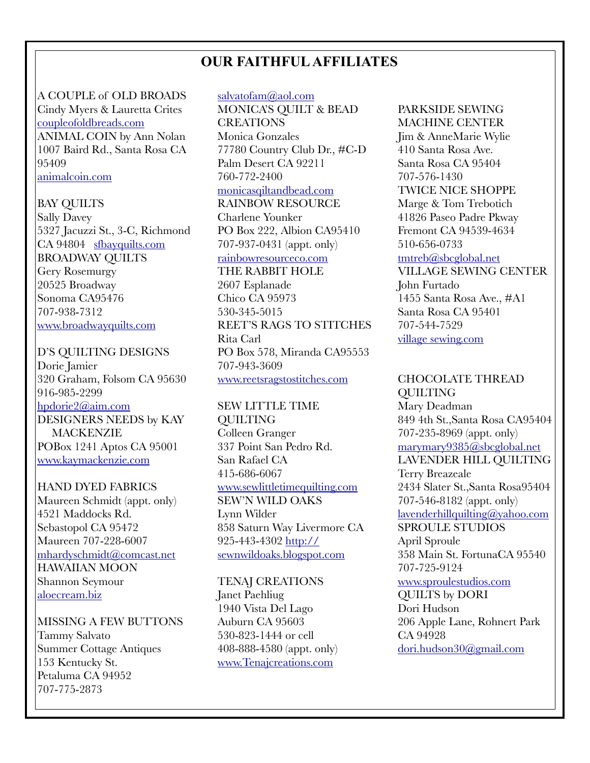## **OUR FAITHFUL AFFILIATES**

A COUPLE of OLD BROADS Cindy Myers & Lauretta Crites [coupleofoldbreads.com](http://coupleofoldbreads.com) ANIMAL COIN by Ann Nolan 1007 Baird Rd., Santa Rosa CA 95409 [animalcoin.com](http://animalcoin.com)

#### BAY QUILTS

Sally Davey 5327 Jacuzzi St., 3-C, Richmond CA 94804 [sfbayquilts.com](http://sfbayquilts.com) BROADWAY QUILTS Gery Rosemurgy 20525 Broadway Sonoma CA95476 707-938-7312 [www.broadwayquilts.com](http://www.broadwayquilts.com)

D'S QUILTING DESIGNS Dorie Jamier 320 Graham, Folsom CA 95630 916-985-2299 [hpdorie2@aim.com](mailto:hpdorie2@aim.com) DESIGNERS NEEDS by KAY MACKENZIE POBox 1241 Aptos CA 95001 [www.kaymackenzie.com](http://www.kaymackenzie.com)

#### HAND DYED FABRICS

Maureen Schmidt (appt. only) 4521 Maddocks Rd. Sebastopol CA 95472 Maureen 707-228-6007 [mhardyschmidt@comcast.net](mailto:mhardyschmidt@comcast.net) HAWAIIAN MOON Shannon Seymour [aloecream.biz](http://aloecream.biz)

MISSING A FEW BUTTONS Tammy Salvato Summer Cottage Antiques 153 Kentucky St. Petaluma CA 94952 707-775-2873

#### [salvatofam@aol.com](mailto:salvatofam@aol.com)

MONICA'S QUILT & BEAD CREATIONS

Monica Gonzales 77780 Country Club Dr., #C-D Palm Desert CA 92211 760-772-2400 [monicasqiltandbead.com](http://monicasqiltandbead.com)

RAINBOW RESOURCE Charlene Younker PO Box 222, Albion CA95410 707-937-0431 (appt. only)

### [rainbowresourceco.com](http://rainbowresourceco.com)

THE RABBIT HOLE 2607 Esplanade Chico CA 95973 530-345-5015 REET'S RAGS TO STITCHES Rita Carl PO Box 578, Miranda CA95553 707-943-3609 [www.reetsragstostitches.com](http://www.reetsragstostitches.com)

SEW LITTLE TIME **OUILTING** Colleen Granger 337 Point San Pedro Rd. San Rafael CA 415-686-6067 [www.sewlittletimequilting.com](http://www.sewlittletimequilting.com) SEW'N WILD OAKS Lynn Wilder 858 Saturn Way Livermore CA 925-443-4302 http:// [sewnwildoaks.blogspot.com](http://sewnwildoaks.blogspot.com)

TENAJ CREATIONS Janet Paehliug 1940 Vista Del Lago

Auburn CA 95603 530-823-1444 or cell 408-888-4580 (appt. only) [www.Tenajcreations.com](http://www.Tenajcreations.com)

#### PARKSIDE SEWING MACHINE CENTER

Jim & AnneMarie Wylie 410 Santa Rosa Ave. Santa Rosa CA 95404 707-576-1430 TWICE NICE SHOPPE Marge & Tom Trebotich 41826 Paseo Padre Pkway Fremont CA 94539-4634 510-656-0733

#### [tmtreb@sbcglobal.net](mailto:tmtreb@sbcglobal.net)

VILLAGE SEWING CENTER John Furtado 1455 Santa Rosa Ave., #A1 Santa Rosa CA 95401 707-544-7529 [village sewing.com](http://www.apple.com)

CHOCOLATE THREAD QUILTING Mary Deadman 849 4th St.,Santa Rosa CA95404 707-235-8969 (appt. only) [marymary9385@sbcglobal.net](mailto:marymary9385@sbcglobal.net) LAVENDER HILL QUILTING Terry Breazeale 2434 Slater St.,Santa Rosa95404 707-546-8182 (appt. only) [lavenderhillquilting@yahoo.com](mailto:lavenderhillquilting@yahoo.com) SPROULE STUDIOS April Sproule 358 Main St. FortunaCA 95540 707-725-9124 [www.sproulestudios.com](http://www.sproulestudios.com) QUILTS by DORI Dori Hudson 206 Apple Lane, Rohnert Park CA 94928 [dori.hudson30@gmail.com](mailto:dori.hudson30@gmail.com)